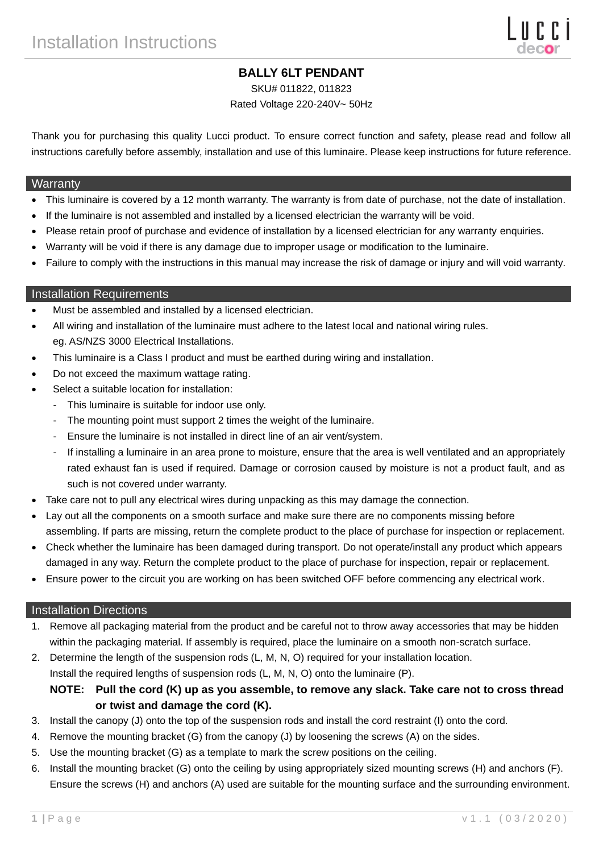# **BALLY 6LT PENDANT**

SKU# 011822, 011823

### Rated Voltage 220-240V~ 50Hz

Thank you for purchasing this quality Lucci product. To ensure correct function and safety, please read and follow all instructions carefully before assembly, installation and use of this luminaire. Please keep instructions for future reference.

#### **Warranty**

- This luminaire is covered by a 12 month warranty. The warranty is from date of purchase, not the date of installation.
- If the luminaire is not assembled and installed by a licensed electrician the warranty will be void.
- Please retain proof of purchase and evidence of installation by a licensed electrician for any warranty enquiries.
- Warranty will be void if there is any damage due to improper usage or modification to the luminaire.
- Failure to comply with the instructions in this manual may increase the risk of damage or injury and will void warranty.

### Installation Requirements

- Must be assembled and installed by a licensed electrician.
- All wiring and installation of the luminaire must adhere to the latest local and national wiring rules. eg. AS/NZS 3000 Electrical Installations.
- This luminaire is a Class I product and must be earthed during wiring and installation.
- Do not exceed the maximum wattage rating.
- Select a suitable location for installation:
	- This luminaire is suitable for indoor use only.
	- The mounting point must support 2 times the weight of the luminaire.
	- Ensure the luminaire is not installed in direct line of an air vent/system.
	- If installing a luminaire in an area prone to moisture, ensure that the area is well ventilated and an appropriately rated exhaust fan is used if required. Damage or corrosion caused by moisture is not a product fault, and as such is not covered under warranty.
- Take care not to pull any electrical wires during unpacking as this may damage the connection.
- Lay out all the components on a smooth surface and make sure there are no components missing before assembling. If parts are missing, return the complete product to the place of purchase for inspection or replacement.
- Check whether the luminaire has been damaged during transport. Do not operate/install any product which appears damaged in any way. Return the complete product to the place of purchase for inspection, repair or replacement.
- Ensure power to the circuit you are working on has been switched OFF before commencing any electrical work.

#### Installation Directions

- 1. Remove all packaging material from the product and be careful not to throw away accessories that may be hidden within the packaging material. If assembly is required, place the luminaire on a smooth non-scratch surface.
- 2. Determine the length of the suspension rods (L, M, N, O) required for your installation location. Install the required lengths of suspension rods (L, M, N, O) onto the luminaire (P).

**NOTE: Pull the cord (K) up as you assemble, to remove any slack. Take care not to cross thread or twist and damage the cord (K).**

- 3. Install the canopy (J) onto the top of the suspension rods and install the cord restraint (I) onto the cord.
- 4. Remove the mounting bracket (G) from the canopy (J) by loosening the screws (A) on the sides.
- 5. Use the mounting bracket (G) as a template to mark the screw positions on the ceiling.
- 6. Install the mounting bracket (G) onto the ceiling by using appropriately sized mounting screws (H) and anchors (F). Ensure the screws (H) and anchors (A) used are suitable for the mounting surface and the surrounding environment.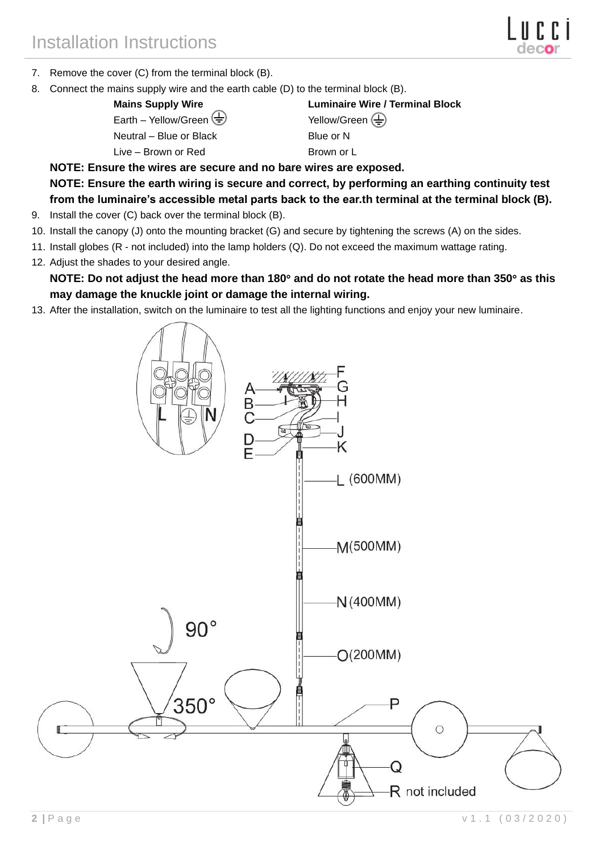- 7. Remove the cover (C) from the terminal block (B).
- 8. Connect the mains supply wire and the earth cable (D) to the terminal block (B).

Earth – Yellow/Green  $\overline{\bigoplus}$  Yellow/Green  $\overline{\bigoplus}$ Neutral – Blue or Black Blue or N Live – Brown or Red Brown or L

**Mains Supply Wire Luminaire Wire / Terminal Block**

**NOTE: Ensure the wires are secure and no bare wires are exposed. NOTE: Ensure the earth wiring is secure and correct, by performing an earthing continuity test from the luminaire's accessible metal parts back to the ear.th terminal at the terminal block (B).**

- 9. Install the cover (C) back over the terminal block (B).
- 10. Install the canopy (J) onto the mounting bracket (G) and secure by tightening the screws (A) on the sides.
- 11. Install globes (R not included) into the lamp holders (Q). Do not exceed the maximum wattage rating.
- 12. Adjust the shades to your desired angle.

**NOTE: Do not adjust the head more than 180 and do not rotate the head more than 350 as this may damage the knuckle joint or damage the internal wiring.**

13. After the installation, switch on the luminaire to test all the lighting functions and enjoy your new luminaire.